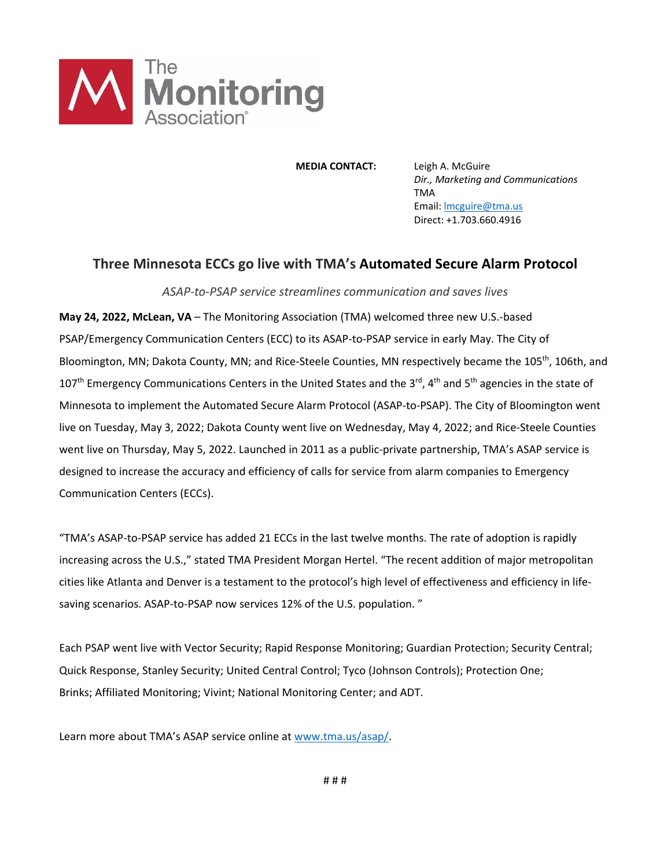

 **MEDIA CONTACT:** Leigh A. McGuire *Dir., Marketing and Communications*  TMA Email: lmcguire@tma.us Direct: +1.703.660.4916

## **Three Minnesota ECCs go live with TMA's Automated Secure Alarm Protocol**

*ASAP‐to‐PSAP service streamlines communication and saves lives* 

**May 24, 2022, McLean, VA** – The Monitoring Association (TMA) welcomed three new U.S.‐based PSAP/Emergency Communication Centers (ECC) to its ASAP‐to‐PSAP service in early May. The City of Bloomington, MN; Dakota County, MN; and Rice-Steele Counties, MN respectively became the 105<sup>th</sup>, 106th, and 107<sup>th</sup> Emergency Communications Centers in the United States and the 3<sup>rd</sup>, 4<sup>th</sup> and 5<sup>th</sup> agencies in the state of Minnesota to implement the Automated Secure Alarm Protocol (ASAP‐to‐PSAP). The City of Bloomington went live on Tuesday, May 3, 2022; Dakota County went live on Wednesday, May 4, 2022; and Rice‐Steele Counties went live on Thursday, May 5, 2022. Launched in 2011 as a public-private partnership, TMA's ASAP service is designed to increase the accuracy and efficiency of calls for service from alarm companies to Emergency Communication Centers (ECCs).

"TMA's ASAP‐to‐PSAP service has added 21 ECCs in the last twelve months. The rate of adoption is rapidly increasing across the U.S.," stated TMA President Morgan Hertel. "The recent addition of major metropolitan cities like Atlanta and Denver is a testament to the protocol's high level of effectiveness and efficiency in life‐ saving scenarios. ASAP-to-PSAP now services 12% of the U.S. population."

Each PSAP went live with Vector Security; Rapid Response Monitoring; Guardian Protection; Security Central; Quick Response, Stanley Security; United Central Control; Tyco (Johnson Controls); Protection One; Brinks; Affiliated Monitoring; Vivint; National Monitoring Center; and ADT.

Learn more about TMA's ASAP service online at www.tma.us/asap/.